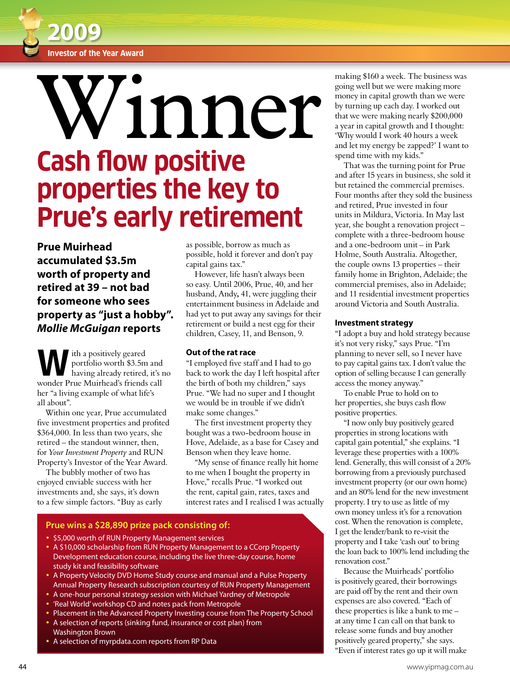

# **Cash flow positive properties the key to Prue's early retirement** Winner

**Prue Muirhead accumulated \$3.5m worth of property and retired at 39 – not bad for someone who sees property as "just a hobby".**  *Mollie McGuigan* **reports**

ith a positively geared<br>portfolio worth \$3.5m<br>having already retired. portfolio worth \$3.5m and having already retired, it's no wonder Prue Muirhead's friends call her "a living example of what life's all about".

Within one year, Prue accumulated five investment properties and profited \$364,000. In less than two years, she retired – the standout winner, then, for *Your Investment Property* and RUN Property's Investor of the Year Award.

The bubbly mother of two has enjoyed enviable success with her investments and, she says, it's down to a few simple factors. "Buy as early as possible, borrow as much as possible, hold it forever and don't pay capital gains tax."

However, life hasn't always been so easy. Until 2006, Prue, 40, and her husband, Andy**,** 41, were juggling their entertainment business in Adelaide and had yet to put away any savings for their retirement or build a nest egg for their children, Casey, 11, and Benson, 9.

### **Out of the rat race**

"I employed five staff and I had to go back to work the day I left hospital after the birth of both my children," says Prue. "We had no super and I thought we would be in trouble if we didn't make some changes."

The first investment property they bought was a two-bedroom house in Hove, Adelaide, as a base for Casey and Benson when they leave home.

"My sense of finance really hit home to me when I bought the property in Hove," recalls Prue. "I worked out the rent, capital gain, rates, taxes and interest rates and I realised I was actually

## **Prue wins a \$28,890 prize pack consisting of:**

- **.** \$5,000 worth of RUN Property Management services
- A \$10,000 scholarship from RUN Property Management to a CCorp Property Development education course, including the live three-day course, home study kit and feasibility software
- A Property Velocity DVD Home Study course and manual and a Pulse Property Annual Property Research subscription courtesy of RUN Property Management
- A one-hour personal strategy session with Michael Yardney of Metropole
- 'Real World' workshop CD and notes pack from Metropole
- Placement in the Advanced Property Investing course from The Property School
- A selection of reports (sinking fund, insurance or cost plan) from Washington Brown
- A selection of myrpdata.com reports from RP Data

making \$160 a week. The business was going well but we were making more money in capital growth than we were by turning up each day. I worked out that we were making nearly \$200,000 a year in capital growth and I thought: 'Why would I work 40 hours a week and let my energy be zapped?' I want to spend time with my kids."

That was the turning point for Prue and after 15 years in business, she sold it but retained the commercial premises. Four months after they sold the business and retired, Prue invested in four units in Mildura, Victoria. In May last year, she bought a renovation project – complete with a three-bedroom house and a one-bedroom unit – in Park Holme, South Australia. Altogether, the couple owns 13 properties – their family home in Brighton, Adelaide; the commercial premises, also in Adelaide; and 11 residential investment properties around Victoria and South Australia.

#### **Investment strategy**

"I adopt a buy and hold strategy because it's not very risky," says Prue. "I'm planning to never sell, so I never have to pay capital gains tax. I don't value the option of selling because I can generally access the money anyway."

To enable Prue to hold on to her properties, she buys cash flow positive properties.

"I now only buy positively geared properties in strong locations with capital gain potential," she explains. "I leverage these properties with a 100% lend. Generally, this will consist of a 20% borrowing from a previously purchased investment property (or our own home) and an 80% lend for the new investment property. I try to use as little of my own money unless it's for a renovation cost. When the renovation is complete, I get the lender/bank to re-visit the property and I take 'cash out' to bring the loan back to 100% lend including the renovation cost."

Because the Muirheads' portfolio is positively geared, their borrowings are paid off by the rent and their own expenses are also covered. "Each of these properties is like a bank to me – at any time I can call on that bank to release some funds and buy another positively geared property," she says. "Even if interest rates go up it will make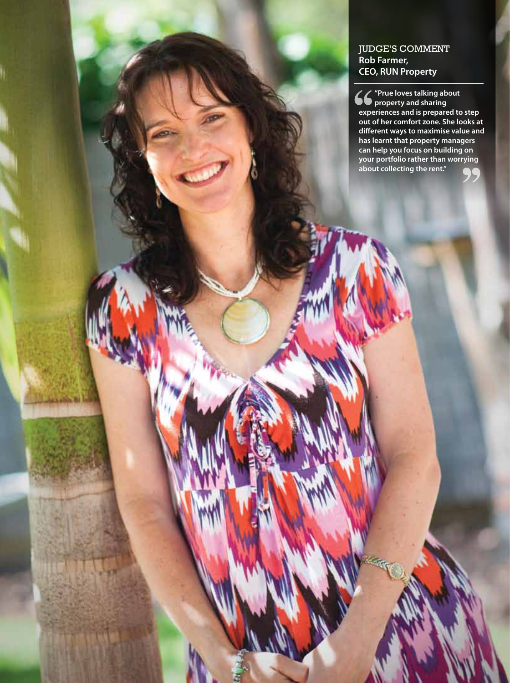## JUDGE'S COMMENT **Rob Farmer, CEO, RUN Property**

www.yipmag.com.au 45

**"Prue loves talking about property and sharing experiences and is prepared to step out of her comfort zone. She looks at different ways to maximise value and has learnt that property managers can help you focus on building on your portfolio rather than worrying about collecting the rent."**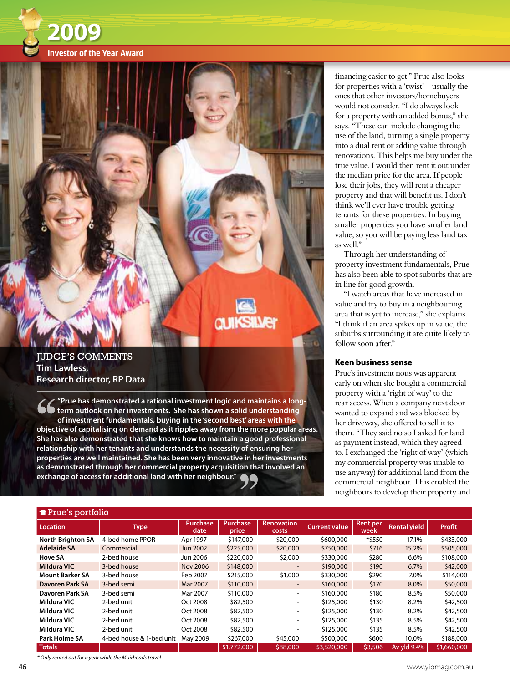



## **IUDGE'S COMMENTS Tim Lawless, Research director, RP Data**

**"Prue has demonstrated a rational investment logic and maintains a longterm outlook on her investments. She has shown a solid understanding of investment fundamentals, buying in the 'second best' areas with the objective of capitalising on demand as it ripples away from the more popular areas. She has also demonstrated that she knows how to maintain a good professional relationship with her tenants and understands the necessity of ensuring her properties are well maintained. She has been very innovative in her investments as demonstrated through her commercial property acquisition that involved an exchange of access for additional land with her neighbour."**

financing easier to get." Prue also looks for properties with a 'twist' – usually the ones that other investors/homebuyers would not consider. "I do always look for a property with an added bonus," she says. "These can include changing the use of the land, turning a single property into a dual rent or adding value through renovations. This helps me buy under the true value. I would then rent it out under the median price for the area. If people lose their jobs, they will rent a cheaper property and that will benefit us. I don't think we'll ever have trouble getting tenants for these properties. In buying smaller properties you have smaller land value, so you will be paying less land tax as well."

Through her understanding of property investment fundamentals, Prue has also been able to spot suburbs that are in line for good growth.

"I watch areas that have increased in value and try to buy in a neighbouring area that is yet to increase," she explains. "I think if an area spikes up in value, the suburbs surrounding it are quite likely to follow soon after."

## **Keen business sense**

Prue's investment nous was apparent early on when she bought a commercial property with a 'right of way' to the rear access. When a company next door wanted to expand and was blocked by her driveway, she offered to sell it to them. "They said no so I asked for land as payment instead, which they agreed to. I exchanged the 'right of way' (which my commercial property was unable to use anyway) for additional land from the commercial neighbour. This enabled the neighbours to develop their property and

| Prue's portfolio         |                          |                         |                   |                            |                      |                  |                     |             |
|--------------------------|--------------------------|-------------------------|-------------------|----------------------------|----------------------|------------------|---------------------|-------------|
| <b>Location</b>          | <b>Type</b>              | <b>Purchase</b><br>date | Purchase<br>price | <b>Renovation</b><br>costs | <b>Current value</b> | Rent per<br>week | <b>Rental yield</b> | Profit      |
| <b>North Brighton SA</b> | 4-bed home PPOR          | Apr 1997                | \$147,000         | \$20,000                   | \$600,000            | *\$550           | 17.1%               | \$433,000   |
| <b>Adelaide SA</b>       | Commercial               | Jun 2002                | \$225,000         | \$20,000                   | \$750,000            | \$716            | 15.2%               | \$505,000   |
| <b>Hove SA</b>           | 2-bed house              | Jun 2006                | \$220,000         | \$2,000                    | \$330,000            | \$280            | 6.6%                | \$108,000   |
| <b>Mildura VIC</b>       | 3-bed house              | <b>Nov 2006</b>         | \$148,000         |                            | \$190,000            | \$190            | 6.7%                | \$42,000    |
| <b>Mount Barker SA</b>   | 3-bed house              | Feb 2007                | \$215,000         | \$1,000                    | \$330,000            | \$290            | 7.0%                | \$114,000   |
| Davoren Park SA          | 3-bed semi               | Mar 2007                | \$110,000         | $\sim$                     | \$160,000            | \$170            | 8.0%                | \$50,000    |
| Davoren Park SA          | 3-bed semi               | Mar 2007                | \$110,000         | $\sim$                     | \$160,000            | \$180            | 8.5%                | \$50,000    |
| Mildura VIC              | 2-bed unit               | Oct 2008                | \$82,500          | $\sim$                     | \$125,000            | \$130            | 8.2%                | \$42,500    |
| Mildura VIC              | 2-bed unit               | Oct 2008                | \$82,500          | $\overline{\phantom{a}}$   | \$125,000            | \$130            | 8.2%                | \$42,500    |
| Mildura VIC              | 2-bed unit               | Oct 2008                | \$82,500          | $\overline{\phantom{a}}$   | \$125,000            | \$135            | 8.5%                | \$42,500    |
| Mildura VIC              | 2-bed unit               | Oct 2008                | \$82,500          |                            | \$125,000            | \$135            | 8.5%                | \$42,500    |
| Park Holme SA            | 4-bed house & 1-bed unit | May 2009                | \$267,000         | \$45,000                   | \$500,000            | \$600            | 10.0%               | \$188,000   |
| <b>Totals</b>            |                          |                         | \$1,772,000       | \$88,000                   | \$3,520,000          | \$3,506          | Av yld 9.4%         | \$1,660,000 |

*\* Only rented out for a year while the Muirheads travel*